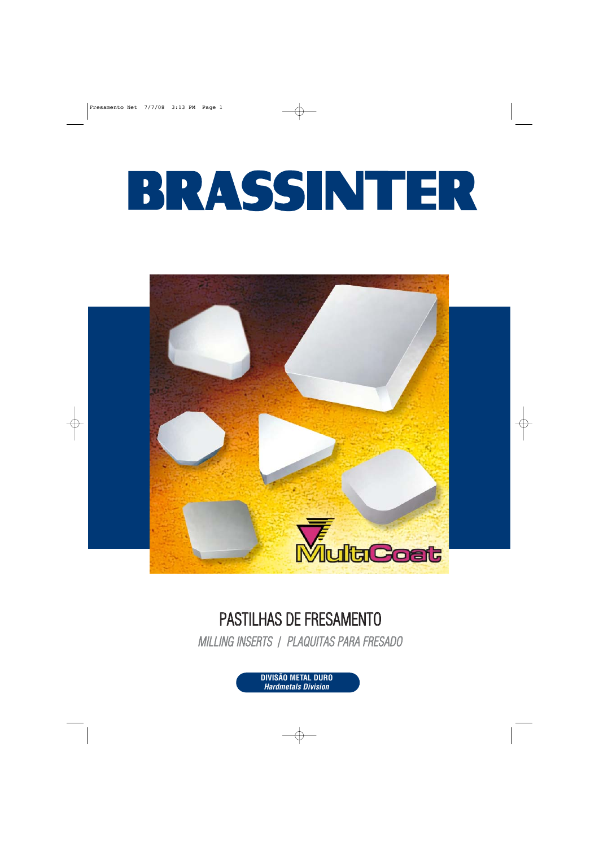# BRASSINTER



# PASTILHAS DE FRESAMENTO

MILLING INSERTS / PLAQUITAS PARA FRESADO

**DIVISÃO METAL DURO Hardmetals Division**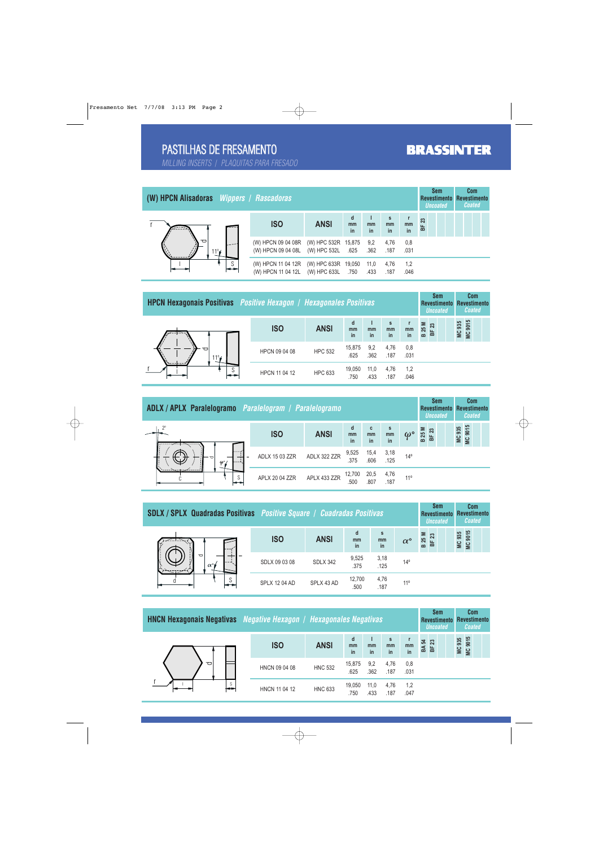MILLING INSERTS / PLAQUITAS PARA FRESADO

| (W) HPCN Alisadoras Wippers / Rascadoras | <b>Sem</b><br><b>Uncoated</b>                                                                | <b>Com</b><br>Revestimento Revestimento<br><b>Coated</b> |                          |                     |                          |                |       |  |
|------------------------------------------|----------------------------------------------------------------------------------------------|----------------------------------------------------------|--------------------------|---------------------|--------------------------|----------------|-------|--|
|                                          | <b>ISO</b>                                                                                   | <b>ANSI</b>                                              | d<br><sub>mm</sub><br>in | <sub>mm</sub><br>in | s<br><sub>mm</sub><br>in | mm<br>in       | BF 23 |  |
| ರ<br>وسيست                               | (W) HPCN 09 04 08R (W) HPC 532R 15,875 9,2<br>(W) HPCN 09 04 08L (W) HPC 532L .625 .362 .187 |                                                          |                          |                     | 4,76                     | 0,8<br>.031    |       |  |
|                                          | (W) HPCN 11 04 12R (W) HPC 633R 19,050 11,0 4,76<br>(W) HPCN 11 04 12L (W) HPC 633L .750     |                                                          |                          | .433                | .187                     | $-1,2$<br>.046 |       |  |

|   | <b>HPCN Hexagonais Positivas</b> Positive Hexagon / Hexagonales Positivas<br>Revestimento<br><b>Uncoated</b> |                |                |              |                                     |             |                        |  |                   | <b>Com</b><br><b>Revestimento</b><br><b>Coated</b> |
|---|--------------------------------------------------------------------------------------------------------------|----------------|----------------|--------------|-------------------------------------|-------------|------------------------|--|-------------------|----------------------------------------------------|
|   | <b>ISO</b>                                                                                                   | <b>ANSI</b>    | d<br>mm<br>in  | mm<br>in     | $\mathbf{s}$<br><sub>mm</sub><br>in | mm<br>in    | <b>B 25 M</b><br>BF 23 |  | MC 935<br>MC 9015 |                                                    |
| ਰ | <b>HPCN 09 04 08</b>                                                                                         | <b>HPC 532</b> | 15,875<br>.625 | 9,2<br>.362  | 4,76<br>.187                        | 0,8<br>.031 |                        |  |                   |                                                    |
|   | HPCN 11 04 12                                                                                                | <b>HPC 633</b> | 19,050<br>750  | 11.0<br>.433 | 4.76<br>.187                        | 1,2<br>.046 |                        |  |                   |                                                    |

| ADLX / APLX Paralelogramo Paralelogram / Paralelogramo | <b>Sem</b><br><b>Revestimento</b><br><b>Uncoated</b> | <b>Com</b><br><b>Revestimento</b><br><b>Coated</b> |                |               |               |              |                   |                                      |
|--------------------------------------------------------|------------------------------------------------------|----------------------------------------------------|----------------|---------------|---------------|--------------|-------------------|--------------------------------------|
|                                                        | <b>ISO</b>                                           | <b>ANSI</b>                                        | d<br>mm<br>in  | C<br>mm<br>in | s<br>mm<br>in |              | Σ<br>ಔ<br>25<br>m | MC 935<br>MC 9015<br>NC <sub>3</sub> |
| ᇰ<br>$\omega^{\circ}$                                  | ADLX 15 03 ZZR                                       | ADLX 322 ZZR                                       | 9,525<br>.375  | 15,4<br>.606  | 3,18<br>.125  | $14^{\circ}$ |                   |                                      |
| S.                                                     | APLX 20 04 ZZR                                       | APLX 433 ZZR                                       | 12,700<br>.500 | 20,5<br>.80   | 4,76<br>.187  | $11^{\circ}$ |                   |                                      |

| <b>SDLX / SPLX Quadradas Positivas Positive Square / Cuadradas Positivas</b> |                     | <b>Sem</b><br><b>Uncoated</b> | <b>Com</b><br>Revestimento Revestimento<br><b>Coated</b> |                          |                  |                         |                   |
|------------------------------------------------------------------------------|---------------------|-------------------------------|----------------------------------------------------------|--------------------------|------------------|-------------------------|-------------------|
|                                                                              | <b>ISO</b>          | <b>ANSI</b>                   | d<br>mm<br>in                                            | s<br><sub>mm</sub><br>in | $\alpha^{\circ}$ | ສ<br>25<br>$\mathsf{m}$ | MC 935<br>MC 9015 |
| $\overline{\phantom{a}}$<br>$\alpha^{\circ}$                                 | SDLX 09 03 08       | <b>SDLX 342</b>               | 9,525<br>.375                                            | 3,18<br>.125             | $14^{\circ}$     |                         |                   |
|                                                                              | <b>SPLX 1204 AD</b> | SPLX 43 AD                    | 12,700<br>.500                                           | 4,76<br>.187             | $11^{\circ}$     |                         |                   |

|   | <b>HNCN Hexagonais Negativas</b> Negative Hexagon / Hexagonales Negativas |                |                |                     |                                     |             |  |                | <b>Sem</b><br>Revestimento Revestimento<br><b>Uncoated</b> |                   | <b>Com</b><br><b>Coated</b> |  |
|---|---------------------------------------------------------------------------|----------------|----------------|---------------------|-------------------------------------|-------------|--|----------------|------------------------------------------------------------|-------------------|-----------------------------|--|
|   | <b>ISO</b>                                                                | <b>ANSI</b>    | d<br>mm<br>in  | <sub>mm</sub><br>in | $\mathbf{s}$<br><sub>mm</sub><br>in | mm<br>in    |  | BA 54<br>BF 23 |                                                            | MC 935<br>MC 9015 |                             |  |
| ᇰ | HNCN 09 04 08                                                             | <b>HNC 532</b> | 15,875<br>.625 | 9,2<br>.362         | 4.76<br>.187                        | 0,8<br>.031 |  |                |                                                            |                   |                             |  |
|   | HNCN 11 04 12                                                             | <b>HNC 633</b> | 19,050<br>750  | 11,0<br>.433        | 4.76<br>.187                        | 1,2<br>.047 |  |                |                                                            |                   |                             |  |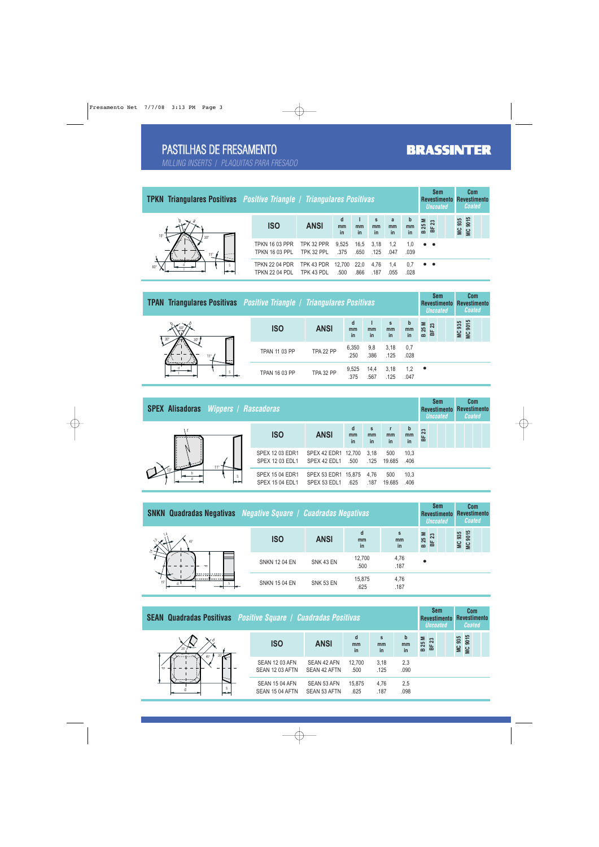MILLING INSERTS / PLAQUITAS PARA FRESADO

# **BRASSINTER**

|            | <b>TPKN Triangulares Positivas Positive Triangle / Triangulares Positivas</b> |                          |                |              |                          |               |             |                          | <b>Sem</b><br><b>Revestimento</b><br><b>Uncoated</b> | <b>Com</b><br><b>Revestimento</b><br><b>Coated</b> |  |
|------------|-------------------------------------------------------------------------------|--------------------------|----------------|--------------|--------------------------|---------------|-------------|--------------------------|------------------------------------------------------|----------------------------------------------------|--|
|            | <b>ISO</b>                                                                    | <b>ANSI</b>              | d<br>mm<br>in  | mm<br>in     | $\mathbf{s}$<br>mm<br>in | a<br>mm<br>in | mm<br>in    | <b>B 25 M</b><br>೫<br>bF |                                                      | 9015<br>MC 935<br>$rac{1}{2}$                      |  |
| 11°        | <b>TPKN 16 03 PPR</b><br><b>TPKN 16 03 PPL</b>                                | TPK 32 PPR<br>TPK 32 PPL | 9,525<br>.375  | 16,5<br>.650 | 3,18<br>.125             | 1,2<br>.047   | 1,0<br>.039 | $\bullet\quad\bullet$    |                                                      |                                                    |  |
| $60^\circ$ | <b>TPKN 22 04 PDR</b><br>TPKN 22 04 PDI                                       | TPK 43 PDR<br>TPK 43 PDL | 12.700<br>.500 | 22.0<br>.866 | 4.76<br>.187             | 1.4<br>.055   | 0.7<br>.028 | $\bullet\quad \bullet$   |                                                      |                                                    |  |

|                          |                      | <b>TPAN Triangulares Positivas Positive Triangle / Triangulares Positivas</b> |               |              |               |                       |                     |   |                   | <b>Com</b><br>Revestimento Revestimento<br><b>Coated</b> |
|--------------------------|----------------------|-------------------------------------------------------------------------------|---------------|--------------|---------------|-----------------------|---------------------|---|-------------------|----------------------------------------------------------|
| $30^\circ$<br>$30^\circ$ | <b>ISO</b>           | <b>ANSI</b>                                                                   | d<br>mm<br>in | mm<br>in     | s<br>mm<br>in | mm<br>in              | Σ<br>25<br>$\Omega$ | ಙ | MC 935<br>MC 9015 |                                                          |
| $11^{\circ}$ .           | <b>TPAN 11 03 PP</b> | TPA 22 PP                                                                     | 6,350<br>.250 | 9,8<br>.386  | 3,18<br>.125  | 0,7<br>.028           |                     |   |                   |                                                          |
|                          | <b>TPAN 16 03 PP</b> | TPA 32 PP                                                                     | 9,525<br>.375 | 14,4<br>.567 | 3.18<br>.125  | $1.2^{\circ}$<br>.047 | $\bullet$           |   |                   |                                                          |

| <b>SPEX Alisadoras Wippers / Rascadoras</b> | <b>Sem</b><br><b>Uncoated</b>      | <b>Com</b><br>Revestimento Revestimento<br><b>Coated</b> |               |                          |                     |                         |       |  |
|---------------------------------------------|------------------------------------|----------------------------------------------------------|---------------|--------------------------|---------------------|-------------------------|-------|--|
|                                             | <b>ISO</b>                         | <b>ANSI</b>                                              | d<br>mm<br>in | s<br><sub>mm</sub><br>in | <sub>mm</sub><br>in | $\mathbf b$<br>mm<br>in | BF 23 |  |
|                                             | SPEX 12 03 EDR1<br>SPEX 12 03 EDL1 | SPEX 42 EDR1 12,700<br>SPEX 42 EDL1                      | .500          | 3,18<br>.125             | 500<br>19.685       | 10,3<br>.406            |       |  |
| S                                           | SPEX 15 04 EDR1<br>SPEX 15 04 EDL1 | SPEX 53 EDR1 15,875<br>SPEX 53 EDL1                      | .625          | 4.76<br>.187             | 500<br>19.685       | 10.3<br>.406            |       |  |

| <b>SNKN Quadradas Negativas</b> Negative Square / Cuadradas Negativas |                      |                  | <b>Sem</b><br><b>Revestimento</b><br><b>Uncoated</b> | Com<br><b>Revestimento</b><br><b>Coated</b> |                         |        |                   |  |
|-----------------------------------------------------------------------|----------------------|------------------|------------------------------------------------------|---------------------------------------------|-------------------------|--------|-------------------|--|
| 51                                                                    | <b>ISO</b>           | <b>ANSI</b>      | d<br>mm<br>in                                        | s<br>mm<br>in                               | Σ<br>25<br>$\mathbf{a}$ | ಙ<br>놂 | MC 935<br>MC 9015 |  |
| $\overline{\phantom{0}}$                                              | <b>SNKN 12 04 EN</b> | SNK 43 EN        | 12,700<br>.500                                       | 4,76<br>.187                                | $\bullet$               |        |                   |  |
| $15^\circ$                                                            | <b>SNKN 15 04 EN</b> | <b>SNK 53 EN</b> | 15,875<br>.625                                       | 4,76<br>.187                                |                         |        |                   |  |

|     |                                          | <b>SEAN Quadradas Positivas Positive Square / Cuadradas Positivas</b><br><b>Revestimento</b> |                |               |                         |                               |                   |  |  |
|-----|------------------------------------------|----------------------------------------------------------------------------------------------|----------------|---------------|-------------------------|-------------------------------|-------------------|--|--|
| 45° | <b>ISO</b>                               | <b>ANSI</b>                                                                                  | d<br>mm<br>in  | S<br>mm<br>in | $\mathbf b$<br>mm<br>in | Ξ<br>ಔ<br>25<br>ᆱ<br>$\Omega$ | MC 935<br>MC 9015 |  |  |
| ᇰ   | <b>SEAN 12 03 AFN</b><br>SEAN 12 03 AFTN | SEAN 42 AFN<br>SEAN 42 AFTN                                                                  | 12,700<br>.500 | 3,18<br>.125  | 2,3<br>.090             |                               |                   |  |  |
|     | <b>SEAN 15 04 AFN</b><br>SEAN 15 04 AFTN | SEAN 53 AFN<br><b>SEAN 53 AFTN</b>                                                           | 15,875<br>.625 | 4,76<br>.187  | 2,5<br>.098             |                               |                   |  |  |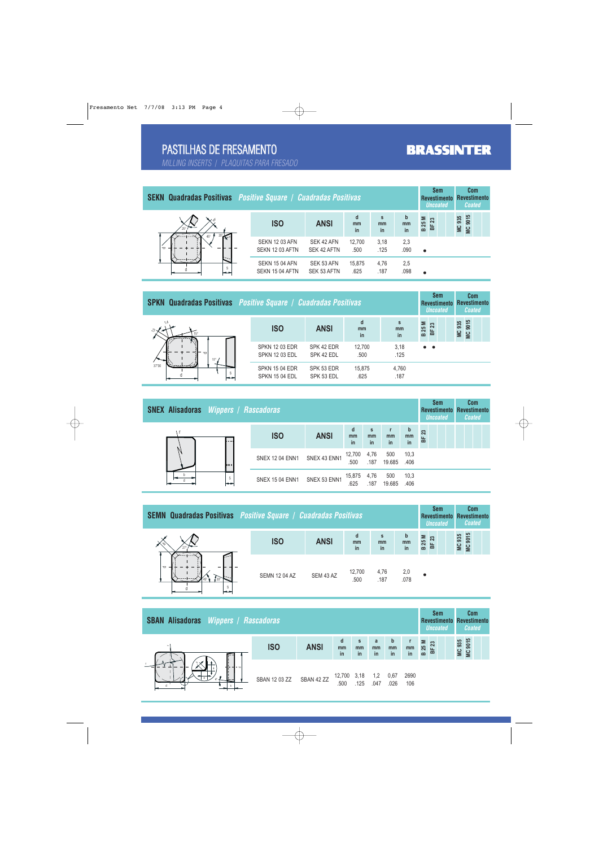MILLING INSERTS / PLAQUITAS PARA FRESADO

#### **BRASSINTER**

|          |                                          | <b>SEKN Quadradas Positivas Positive Square / Cuadradas Positivas</b><br><b>Revestimento</b> |                |               |               |                  |        |                   | Com<br><b>Revestimento</b><br><b>Coated</b> |
|----------|------------------------------------------|----------------------------------------------------------------------------------------------|----------------|---------------|---------------|------------------|--------|-------------------|---------------------------------------------|
|          | <b>ISO</b>                               | <b>ANSI</b>                                                                                  | d<br>mm<br>in  | s<br>mm<br>in | b<br>mm<br>in | Σ<br><b>B</b> 25 | ຕ<br>齿 | MC 9015<br>MC 935 |                                             |
| 45°<br>ᇰ | <b>SEKN 12 03 AFN</b><br>SEKN 12 03 AFTN | SEK 42 AFN<br>SEK 42 AFTN                                                                    | 12,700<br>.500 | 3,18<br>.125  | 2,3<br>.090   | $\bullet$        |        |                   |                                             |
|          | <b>SEKN 15 04 AFN</b><br>SEKN 15 04 AFTN | SEK 53 AFN<br>SEK 53 AFTN                                                                    | 15,875<br>.625 | 4.76<br>.187  | 2,5<br>.098   |                  |        |                   |                                             |

| <b>SPKN Quadradas Positivas Positive Square / Cuadradas Positivas</b> | <b>Sem</b><br>Revestimento<br><b>Uncoated</b>  | Com<br><b>Revestimento</b><br><b>Coated</b> |                |               |                       |                                                       |
|-----------------------------------------------------------------------|------------------------------------------------|---------------------------------------------|----------------|---------------|-----------------------|-------------------------------------------------------|
|                                                                       | <b>ISO</b>                                     | <b>ANSI</b>                                 | d<br>mm<br>in  | s<br>mm<br>in | 25 M<br>ಇ<br>$\Omega$ | 935<br>9015<br>$\overline{\mathsf{M}}$<br>$rac{1}{2}$ |
| ರ<br>$11^{\circ}$                                                     | <b>SPKN 12 03 EDR</b><br><b>SPKN 12 03 EDL</b> | SPK 42 EDR<br>SPK 42 EDL                    | 12,700<br>.500 | 3,18<br>.125  | $\bullet\quad\bullet$ |                                                       |
| 37°30                                                                 | <b>SPKN 15 04 EDR</b><br><b>SPKN 15 04 EDL</b> | SPK 53 EDR<br>SPK 53 EDL                    | 15,875<br>.625 | 4,760<br>.187 |                       |                                                       |

| <b>SNEX Alisadoras Wippers / Rascadoras</b> |        |                              |              |                |                          |               |                         |       | <b>Sem</b><br><b>Uncoated</b> | <b>Com</b><br>Revestimento Revestimento<br><b>Coated</b> |
|---------------------------------------------|--------|------------------------------|--------------|----------------|--------------------------|---------------|-------------------------|-------|-------------------------------|----------------------------------------------------------|
|                                             |        | <b>ISO</b>                   | <b>ANSI</b>  | d<br>mm<br>in  | s<br><sub>mm</sub><br>in | mm<br>in      | $\mathbf b$<br>mm<br>in | BF 23 |                               |                                                          |
|                                             |        | <b>SNEX 12 04 ENN1</b>       | SNEX 43 ENN1 | 12,700<br>.500 | 4,76<br>.187             | 500<br>19.685 | 10,3<br>.406            |       |                               |                                                          |
|                                             | S<br>- | SNEX 15 04 ENN1 SNEX 53 ENN1 |              | 15,875<br>.625 | 4,76<br>.187             | 500<br>19.685 | 10,3<br>.406            |       |                               |                                                          |

| <b>SEMN Quadradas Positivas Positive Square / Cuadradas Positivas</b> |                      |             |                |               |                         | <b>Sem</b><br><b>Uncoated</b>                    | <b>Com</b><br>Revestimento Revestimento<br><b>Coated</b> |
|-----------------------------------------------------------------------|----------------------|-------------|----------------|---------------|-------------------------|--------------------------------------------------|----------------------------------------------------------|
|                                                                       | <b>ISO</b>           | <b>ANSI</b> | d<br>mm<br>in  | S<br>mm<br>in | $\mathbf b$<br>mm<br>in | <b>B 25 M</b><br>$\boldsymbol{\mathcal{Z}}$<br>놂 | MC 935<br>MC 9015                                        |
| ᇰ<br>S                                                                | <b>SEMN 12 04 AZ</b> | SEM 43 AZ   | 12,700<br>.500 | 4,76<br>.187  | 2,0<br>.078             | $\bullet$                                        |                                                          |

| <b>SBAN Alisadoras Wippers / Rascadoras</b> |               |             |                         |               |               |                          |                     |               | <b>Sem</b><br><b>Uncoated</b>   | Revestimento | <b>Com</b><br><b>Revestimento</b><br><b>Coated</b> |  |
|---------------------------------------------|---------------|-------------|-------------------------|---------------|---------------|--------------------------|---------------------|---------------|---------------------------------|--------------|----------------------------------------------------|--|
|                                             | <b>ISO</b>    | <b>ANSI</b> | d<br>mm<br>in           | s<br>mm<br>in | a<br>mm<br>in | $\mathsf{b}$<br>mm<br>in | mm<br>$\mathsf{in}$ | <b>B 25 M</b> | $\boldsymbol{\mathcal{Z}}$<br>岀 |              | MC 935<br>MC 9015                                  |  |
|                                             | SBAN 12 03 ZZ | SBAN 42 ZZ  | 12,700 3,18<br>500 .125 |               | 1,2<br>.047   | 0.67<br>.026             | 2690<br>106         |               |                                 |              |                                                    |  |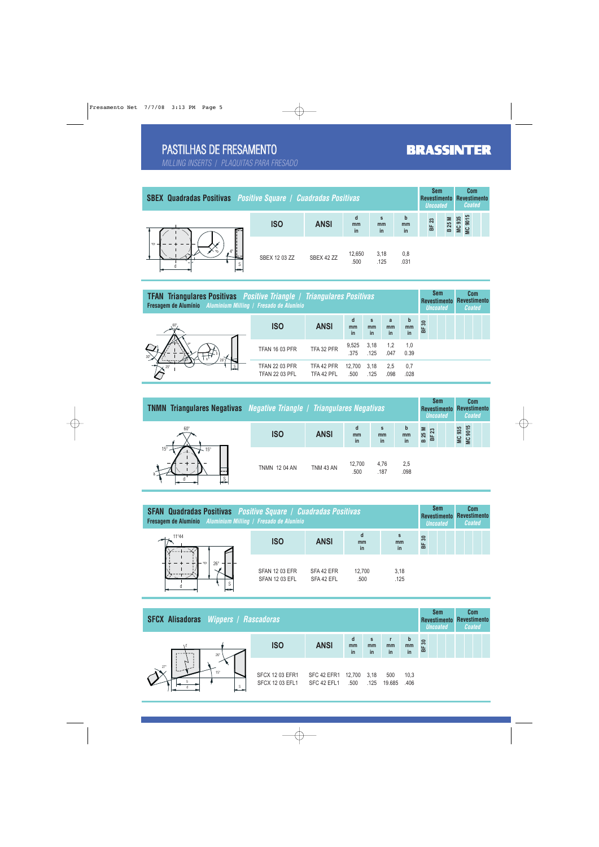MILLING INSERTS / PLAQUITAS PARA FRESADO

#### **BRASSINTER**

| <b>SBEX Quadradas Positivas Positive Square / Cuadradas Positivas</b> |               |             |                |               |                         | <b>Sem</b><br><b>Uncoated</b> |               |                   | Com<br>Revestimento Revestimento<br><b>Coated</b> |  |
|-----------------------------------------------------------------------|---------------|-------------|----------------|---------------|-------------------------|-------------------------------|---------------|-------------------|---------------------------------------------------|--|
|                                                                       | <b>ISO</b>    | <b>ANSI</b> | d<br>mm<br>in  | s<br>mm<br>in | $\mathbf b$<br>mm<br>in | <b>BF 23</b>                  | <b>B 25 M</b> | MC 935<br>MC 9015 |                                                   |  |
| ᇰ<br>S                                                                | SBEX 12 03 ZZ | SBEX 42 ZZ  | 12,650<br>.500 | 3,18<br>.125  | 0,8<br>.031             |                               |               |                   |                                                   |  |

| <b>TFAN Triangulares Positivas Positive Triangle / Triangulares Positivas</b><br>Fresagem de Alumínio Aluminium Milling / Fresado de Alunínio |                                                |                          |                |                          |                          |               | <b>Sem</b><br>Revestimento Revestimento<br><b>Uncoated</b> | <b>Com</b><br><b>Coated</b> |
|-----------------------------------------------------------------------------------------------------------------------------------------------|------------------------------------------------|--------------------------|----------------|--------------------------|--------------------------|---------------|------------------------------------------------------------|-----------------------------|
|                                                                                                                                               | <b>ISO</b>                                     | <b>ANSI</b>              | d<br>mm<br>in  | s<br><sub>mm</sub><br>in | a<br><sub>mm</sub><br>in | b<br>mm<br>in | ౚ<br>$\overline{B}$                                        |                             |
| $30^\circ$                                                                                                                                    | <b>TFAN 16 03 PFR</b>                          | TFA 32 PFR               | 9,525<br>.375  | 3,18<br>.125             | 1,2<br>.047              | 1,0<br>0.39   |                                                            |                             |
| S                                                                                                                                             | <b>TFAN 22 03 PFR</b><br><b>TFAN 22 03 PFL</b> | TFA 42 PFR<br>TFA 42 PFL | 12.700<br>.500 | 3.18<br>.125             | 2.5<br>.098              | 0.7<br>.028   |                                                            |                             |

| <b>TNMN Triangulares Negativas</b> Negative Triangle / Triangulares Negativas |                      |                  |                |                                     |                         |                         | <b>Sem</b><br>Revestimento Revestimento<br><b>Uncoated</b> |                   | <b>Com</b><br><b>Coated</b> |
|-------------------------------------------------------------------------------|----------------------|------------------|----------------|-------------------------------------|-------------------------|-------------------------|------------------------------------------------------------|-------------------|-----------------------------|
| 60 <sup>°</sup>                                                               | <b>ISO</b>           | <b>ANSI</b>      | d<br>mm<br>in  | $\mathbf{s}$<br><sub>mm</sub><br>in | $\mathbf b$<br>mm<br>in | ⋝<br>25<br>$\mathbf{m}$ | က<br>œ                                                     | MC 935<br>MC 9015 |                             |
| $15^\circ$                                                                    | <b>TNMN 12 04 AN</b> | <b>TNM 43 AN</b> | 12,700<br>.500 | 4.76<br>.187                        | 2,5<br>.098             |                         |                                                            |                   |                             |

| <b>SFAN Quadradas Positivas Positive Square / Cuadradas Positivas</b><br>Fresagem de Alumínio Aluminium Milling / Fresado de Alunínio |                                                |                          |                |               |        | <b>Sem</b><br><b>Uncoated</b> | Com<br>Revestimento Revestimento<br><b>Coated</b> |
|---------------------------------------------------------------------------------------------------------------------------------------|------------------------------------------------|--------------------------|----------------|---------------|--------|-------------------------------|---------------------------------------------------|
| 11 <sup>°</sup> 44                                                                                                                    | <b>ISO</b>                                     | <b>ANSI</b>              | d<br>mm<br>in  | s<br>mm<br>in | ౚ<br>놂 |                               |                                                   |
| $26^{\circ}$<br>ರ<br>S<br>╼                                                                                                           | <b>SFAN 12 03 EFR</b><br><b>SFAN 12 03 EFL</b> | SFA 42 EFR<br>SFA 42 EFL | 12,700<br>.500 | 3,18<br>.125  |        |                               |                                                   |

| <b>SFCX Alisadoras Wippers / Rascadoras</b>   |                                                  |                            |                |                          |               |                         |       | <b>Sem</b><br><b>Uncoated</b> | <b>Com</b><br>Revestimento Revestimento<br><b>Coated</b> |
|-----------------------------------------------|--------------------------------------------------|----------------------------|----------------|--------------------------|---------------|-------------------------|-------|-------------------------------|----------------------------------------------------------|
| $26^{\circ}$                                  | <b>ISO</b>                                       | <b>ANSI</b>                | d<br>mm<br>in  | s<br><sub>mm</sub><br>in | r<br>mm<br>in | $\mathbf b$<br>mm<br>in | BF 30 |                               |                                                          |
| Ν<br>$27^\circ$<br>$15^\circ$<br><sub>S</sub> | <b>SFCX 12 03 EFR1</b><br><b>SFCX 12 03 EFL1</b> | SFC 42 EFR1<br>SFC 42 EFL1 | 12,700<br>.500 | 3,18<br>.125             | 500<br>19.685 | 10,3<br>.406            |       |                               |                                                          |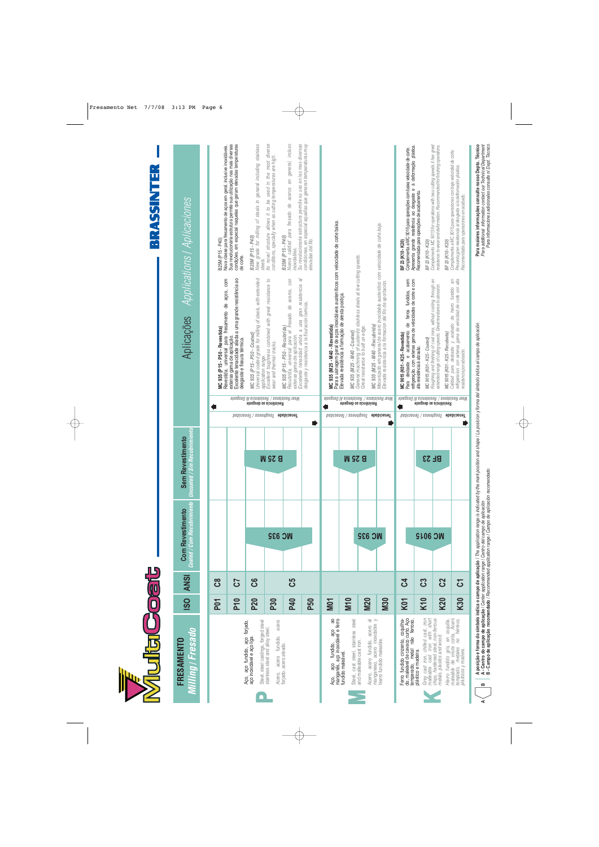| <u>Jiliaí</u>                                                                                                                                                  |                 |             |                                                                                                                                                                                                                                      |                                                      |                                                              |                                                                                                                                                                                                                                                  | BRASSINTE                                                                                                                                                                          |
|----------------------------------------------------------------------------------------------------------------------------------------------------------------|-----------------|-------------|--------------------------------------------------------------------------------------------------------------------------------------------------------------------------------------------------------------------------------------|------------------------------------------------------|--------------------------------------------------------------|--------------------------------------------------------------------------------------------------------------------------------------------------------------------------------------------------------------------------------------------------|------------------------------------------------------------------------------------------------------------------------------------------------------------------------------------|
| s<br>mg / Fresad<br>FRESAMENTO                                                                                                                                 | <b>OSI</b>      | <b>ANSI</b> | <b>Coated / Com Recubrimiento</b><br><b>Com Revestimento</b>                                                                                                                                                                         | ecubrimiento<br>Sem Revestimento<br>Uncoated / Sin I |                                                              | Applications / Aplicaciones<br>Aplicações                                                                                                                                                                                                        |                                                                                                                                                                                    |
|                                                                                                                                                                | <b>POT</b>      | ၓိ          |                                                                                                                                                                                                                                      |                                                      |                                                              | B25M (P15 - P40)<br>ප්<br>MC 935 (P15 - P50 - Revestida)                                                                                                                                                                                         | Nova classe para fresamento de aços em geral, inclusive inoxidáveis.                                                                                                               |
|                                                                                                                                                                | P10             | 55          |                                                                                                                                                                                                                                      |                                                      |                                                              | de corte.<br>com<br>G<br>Excelente tenacidade aliada a uma grande resistência<br>aços,<br>Revestida, universal para fresamento<br>extensa gama de aplicação.<br>desgaste e fissura térmica.                                                      | Sua revolucionária estrutura permite sua utilização nas mais diversas<br>condições, em especial naquelas que geram elevadas temperaturas                                           |
| Aço, aço fundido, aço forjado,<br>aço inoxidável e aço liga.                                                                                                   | <b>P20</b>      | ပိ          |                                                                                                                                                                                                                                      |                                                      |                                                              | B25M (P15 - P40)<br>Universal coated grade for milling of steels, with extended<br><b>MC 935 (P15 - P50 - Coated)</b>                                                                                                                            | New grade for milling of steels in general including stainiess                                                                                                                     |
| acero fundido, acero<br>Steel, steel castings, forged steel<br>stainless steel and alloy steel.<br>Acero,                                                      | <b>P30</b>      |             |                                                                                                                                                                                                                                      | <b>NSZ</b><br>g                                      | Resistência ao desgaste                                      | steels.<br>O,<br>Excellent toughness combined with great resistance<br>wear and thermal cracks.<br>application range.                                                                                                                            | in the most diverse<br>conditions, specially when as cutting temperatures are high<br>Its novel structure allows it to be used                                                     |
| forjado, acero aleado.                                                                                                                                         | <b>P40</b>      | ပိ          | <b>MC 935</b>                                                                                                                                                                                                                        |                                                      | pepioeual / ssauyfinol apepioeual                            | B25M (P15 - P40)<br>inoxidables.<br>Recubrida, universal para el fresado de aceros, con<br>$\overline{\sigma}$<br>gran resistencia<br>MC 935 (P15 - P50 - Recubrida)<br>extensa gama de aplicación.<br>Wear Resistance / Resistencia Al Desgaste | general, incluso<br>Su revolucionaria estructura permite su uso en las mas diversas<br>$\theta$<br>Nueva calidad para fresado de aceros                                            |
|                                                                                                                                                                | <b>P50</b>      |             |                                                                                                                                                                                                                                      |                                                      | ▶                                                            | elevadas del filo.<br>Excelente tenacidad unida a una gran re<br>desgastey resistencia a la fisuración termica                                                                                                                                   | condiciones, en especial aquellas que generan temperaturas muy                                                                                                                     |
| Aço, aço fundido, aço ao<br>manganês, aço inoxidável e ferro<br>fundido maleável.<br>fundido,                                                                  | M <sub>01</sub> |             |                                                                                                                                                                                                                                      |                                                      |                                                              | MC 935 (M25 - M40 - Revestida)                                                                                                                                                                                                                   |                                                                                                                                                                                    |
| Steel, cast steel, stainless steel                                                                                                                             | <b>M10</b>      |             |                                                                                                                                                                                                                                      | <b>NSS</b>                                           |                                                              | Para a usinagem geral de aços inoxidáveis austentitoos com velocidade de corte baixa.<br>Elevada resistência a formação de aresta postiça.<br>MC 935 (M25 - M40 - Coated)                                                                        |                                                                                                                                                                                    |
| and malleable cast iron.                                                                                                                                       | <b>M20</b>      |             | <b>NC 935</b>                                                                                                                                                                                                                        | $\mathbf{B}$                                         | <b>Resistência ao desgaste</b>                               | General machining of austenitic stainless steels at low cutting speeds<br>Great resistance to built un edge.                                                                                                                                     |                                                                                                                                                                                    |
| $\overline{\sigma}$ ><br>Acero, acero fundido, acero<br>manganeso, acero inoxidable<br>hierro fundido maleable                                                 | <b>M30</b>      |             |                                                                                                                                                                                                                                      |                                                      | Tenacidae Toughna Senson Tenacidad                           | Mecanizado em general de aceró inoxidable austenitico com velocidade de corte baja.<br>Elevada resistencia a la formacion del filo de aportación.<br>MC 935 (M25 - M40 - Recubrida)<br>Wear Resistance / Resistencia Al Desgaste                 |                                                                                                                                                                                    |
| Ferro fundido cinzento, coquilha-<br>do, maleável de cavaco curto. Aço<br>temperado, metal não ferroso,                                                        | K01             | 3           |                                                                                                                                                                                                                                      |                                                      |                                                              | BF 23 (K10 - K20)<br>Para desbaste e acabamento de ferros funcidos, sem<br>refrigeração com extensa gama de velocidades de cote e com<br>MC 9015 (K01 - K25 - Revestida)                                                                         | ao desgaste e à deformação plástica<br>Complementa a MC 9015 para operações com baixa velocidade de corte.<br>Apresenta grande resistência                                         |
| Grey cast iron, chilled cast, iron<br>malleable cast iron with short<br>chips, hardened steel, non-ferrous<br>metals, plastics and wood.<br>plástico e madeira | <b>K10</b>      | <b>3</b>    | <b>MC 9015</b>                                                                                                                                                                                                                       | <b>BF 23</b>                                         | <b>Teni</b> asmaT / szənd <u>iy</u> un bir <b>bəsbissaəT</b> | BF 23 (K10 - K20)<br>MC 9015 (K01 - K25 - Coated)<br>alta resistência à abrasão.<br>Wear Resistance / Resistencia Al Desgaste                                                                                                                    | Recomendada para operações de acabamento                                                                                                                                           |
| en coquilla,<br>Hierro fundido gris,<br>maleable de viruta                                                                                                     | K20             | 23          |                                                                                                                                                                                                                                      |                                                      | Resistência ao desgaste                                      | BF 23 (K10 - K20)<br>Ш<br>Roughing and finishing of cast irons, without cooling, through<br>extended range of cutting speeds. Great resistance to abrasion.<br>MC 9015 (K01 - K25 - Recoberta)                                                   | Complements MC 9015 for operations with less cutting speeds it has great<br>resistance to wear and deformation. Recommended for finishing operations.                              |
| Acero<br>corta, Acero<br>no hérreos,<br>metales<br>templado, metales<br>plásticos y madera.                                                                    | K30             | <u>δ</u>    |                                                                                                                                                                                                                                      |                                                      |                                                              | refrigeracion, con extensa gama de velocidad de corte con alta<br>-Sin<br>fundido<br>hierro<br>ep<br>acabado<br>$\overline{\phantom{0}}$<br>para desbaste<br>resistencia por abrasión.<br>Calidad                                                | Complementa a MC 9015 para operaciones con baja velocidad de corte.<br>Presenta gran resistencia al desgaste a la defromación plastica<br>Recomendada para operaciones en acabado. |
| B                                                                                                                                                              |                 |             | A posição e forma do simbolo indica o campo de aplicação / The application range is indicated by the mark position<br>A - Centro do campo de aplicação / Center application range / Centro del campo de aplicación<br>B - Campo de a |                                                      |                                                              | and shape / La posicion y forma del símbolo indica el campo de aplicación                                                                                                                                                                        | Para maiores informações consulte nosso Depto. Técnico<br>Para additional information contact our Technical Department<br>Para informaciones adicionales consulte n/ Dept. Técnico |